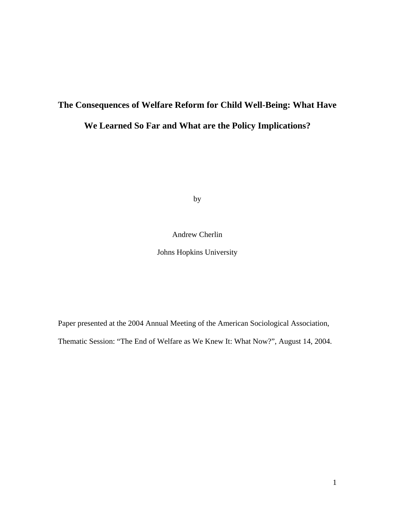# **The Consequences of Welfare Reform for Child Well-Being: What Have**

## **We Learned So Far and What are the Policy Implications?**

by

### Andrew Cherlin

Johns Hopkins University

Paper presented at the 2004 Annual Meeting of the American Sociological Association,

Thematic Session: "The End of Welfare as We Knew It: What Now?", August 14, 2004.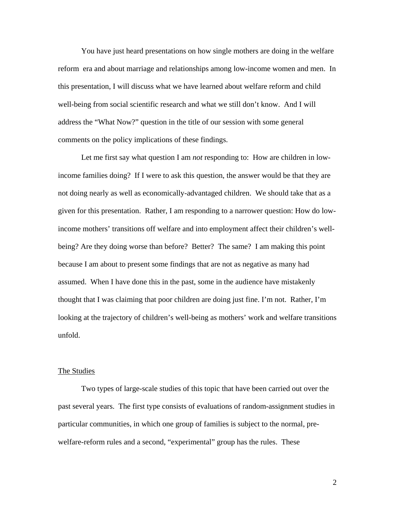You have just heard presentations on how single mothers are doing in the welfare reform era and about marriage and relationships among low-income women and men. In this presentation, I will discuss what we have learned about welfare reform and child well-being from social scientific research and what we still don't know. And I will address the "What Now?" question in the title of our session with some general comments on the policy implications of these findings.

Let me first say what question I am *not* responding to: How are children in lowincome families doing? If I were to ask this question, the answer would be that they are not doing nearly as well as economically-advantaged children. We should take that as a given for this presentation. Rather, I am responding to a narrower question: How do lowincome mothers' transitions off welfare and into employment affect their children's wellbeing? Are they doing worse than before? Better? The same? I am making this point because I am about to present some findings that are not as negative as many had assumed. When I have done this in the past, some in the audience have mistakenly thought that I was claiming that poor children are doing just fine. I'm not. Rather, I'm looking at the trajectory of children's well-being as mothers' work and welfare transitions unfold.

#### The Studies

Two types of large-scale studies of this topic that have been carried out over the past several years. The first type consists of evaluations of random-assignment studies in particular communities, in which one group of families is subject to the normal, prewelfare-reform rules and a second, "experimental" group has the rules. These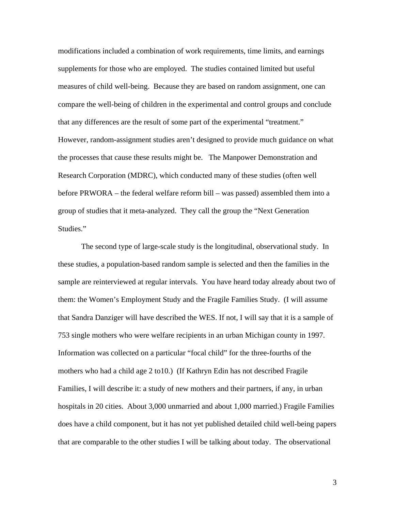modifications included a combination of work requirements, time limits, and earnings supplements for those who are employed. The studies contained limited but useful measures of child well-being. Because they are based on random assignment, one can compare the well-being of children in the experimental and control groups and conclude that any differences are the result of some part of the experimental "treatment." However, random-assignment studies aren't designed to provide much guidance on what the processes that cause these results might be. The Manpower Demonstration and Research Corporation (MDRC), which conducted many of these studies (often well before PRWORA – the federal welfare reform bill – was passed) assembled them into a group of studies that it meta-analyzed. They call the group the "Next Generation Studies."

The second type of large-scale study is the longitudinal, observational study. In these studies, a population-based random sample is selected and then the families in the sample are reinterviewed at regular intervals. You have heard today already about two of them: the Women's Employment Study and the Fragile Families Study. (I will assume that Sandra Danziger will have described the WES. If not, I will say that it is a sample of 753 single mothers who were welfare recipients in an urban Michigan county in 1997. Information was collected on a particular "focal child" for the three-fourths of the mothers who had a child age 2 to10.) (If Kathryn Edin has not described Fragile Families, I will describe it: a study of new mothers and their partners, if any, in urban hospitals in 20 cities. About 3,000 unmarried and about 1,000 married.) Fragile Families does have a child component, but it has not yet published detailed child well-being papers that are comparable to the other studies I will be talking about today. The observational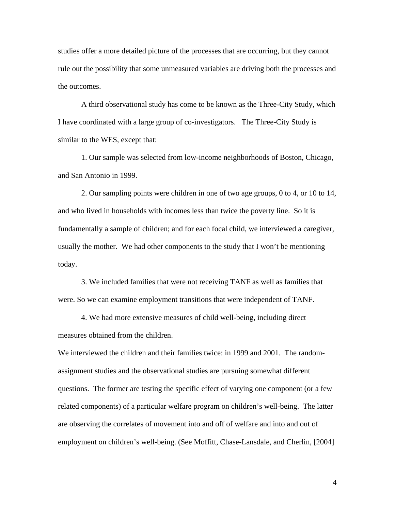studies offer a more detailed picture of the processes that are occurring, but they cannot rule out the possibility that some unmeasured variables are driving both the processes and the outcomes.

A third observational study has come to be known as the Three-City Study, which I have coordinated with a large group of co-investigators. The Three-City Study is similar to the WES, except that:

1. Our sample was selected from low-income neighborhoods of Boston, Chicago, and San Antonio in 1999.

2. Our sampling points were children in one of two age groups, 0 to 4, or 10 to 14, and who lived in households with incomes less than twice the poverty line. So it is fundamentally a sample of children; and for each focal child, we interviewed a caregiver, usually the mother. We had other components to the study that I won't be mentioning today.

3. We included families that were not receiving TANF as well as families that were. So we can examine employment transitions that were independent of TANF.

4. We had more extensive measures of child well-being, including direct measures obtained from the children.

We interviewed the children and their families twice: in 1999 and 2001. The randomassignment studies and the observational studies are pursuing somewhat different questions. The former are testing the specific effect of varying one component (or a few related components) of a particular welfare program on children's well-being. The latter are observing the correlates of movement into and off of welfare and into and out of employment on children's well-being. (See Moffitt, Chase-Lansdale, and Cherlin, [2004]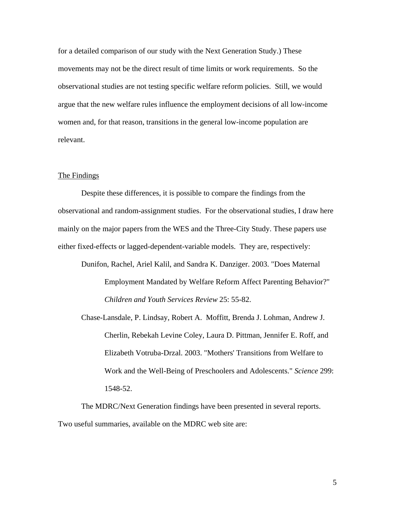for a detailed comparison of our study with the Next Generation Study.) These movements may not be the direct result of time limits or work requirements. So the observational studies are not testing specific welfare reform policies. Still, we would argue that the new welfare rules influence the employment decisions of all low-income women and, for that reason, transitions in the general low-income population are relevant.

#### The Findings

Despite these differences, it is possible to compare the findings from the observational and random-assignment studies. For the observational studies, I draw here mainly on the major papers from the WES and the Three-City Study. These papers use either fixed-effects or lagged-dependent-variable models. They are, respectively:

Dunifon, Rachel, Ariel Kalil, and Sandra K. Danziger. 2003. "Does Maternal Employment Mandated by Welfare Reform Affect Parenting Behavior?" *Children and Youth Services Review* 25: 55-82.

Chase-Lansdale, P. Lindsay, Robert A. Moffitt, Brenda J. Lohman, Andrew J. Cherlin, Rebekah Levine Coley, Laura D. Pittman, Jennifer E. Roff, and Elizabeth Votruba-Drzal. 2003. "Mothers' Transitions from Welfare to Work and the Well-Being of Preschoolers and Adolescents." *Science* 299: 1548-52.

The MDRC/Next Generation findings have been presented in several reports. Two useful summaries, available on the MDRC web site are: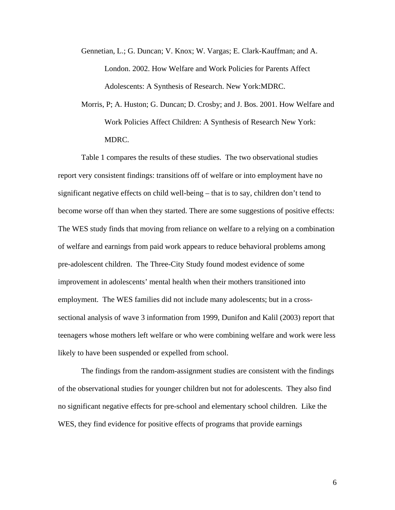Gennetian, L.; G. Duncan; V. Knox; W. Vargas; E. Clark-Kauffman; and A. London. 2002. How Welfare and Work Policies for Parents Affect Adolescents: A Synthesis of Research. New York:MDRC.

Morris, P; A. Huston; G. Duncan; D. Crosby; and J. Bos. 2001. How Welfare and Work Policies Affect Children: A Synthesis of Research New York: MDRC.

Table 1 compares the results of these studies. The two observational studies report very consistent findings: transitions off of welfare or into employment have no significant negative effects on child well-being – that is to say, children don't tend to become worse off than when they started. There are some suggestions of positive effects: The WES study finds that moving from reliance on welfare to a relying on a combination of welfare and earnings from paid work appears to reduce behavioral problems among pre-adolescent children. The Three-City Study found modest evidence of some improvement in adolescents' mental health when their mothers transitioned into employment. The WES families did not include many adolescents; but in a crosssectional analysis of wave 3 information from 1999, Dunifon and Kalil (2003) report that teenagers whose mothers left welfare or who were combining welfare and work were less likely to have been suspended or expelled from school.

The findings from the random-assignment studies are consistent with the findings of the observational studies for younger children but not for adolescents. They also find no significant negative effects for pre-school and elementary school children. Like the WES, they find evidence for positive effects of programs that provide earnings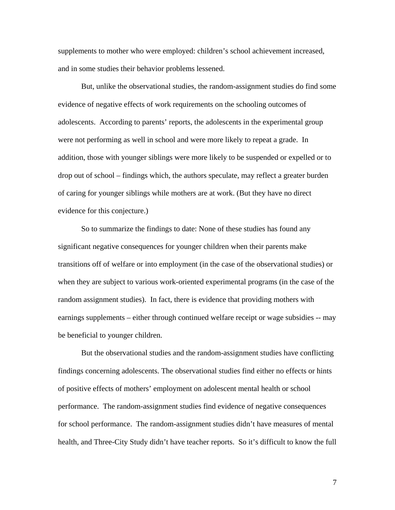supplements to mother who were employed: children's school achievement increased, and in some studies their behavior problems lessened.

But, unlike the observational studies, the random-assignment studies do find some evidence of negative effects of work requirements on the schooling outcomes of adolescents. According to parents' reports, the adolescents in the experimental group were not performing as well in school and were more likely to repeat a grade. In addition, those with younger siblings were more likely to be suspended or expelled or to drop out of school – findings which, the authors speculate, may reflect a greater burden of caring for younger siblings while mothers are at work. (But they have no direct evidence for this conjecture.)

So to summarize the findings to date: None of these studies has found any significant negative consequences for younger children when their parents make transitions off of welfare or into employment (in the case of the observational studies) or when they are subject to various work-oriented experimental programs (in the case of the random assignment studies). In fact, there is evidence that providing mothers with earnings supplements – either through continued welfare receipt or wage subsidies -- may be beneficial to younger children.

But the observational studies and the random-assignment studies have conflicting findings concerning adolescents. The observational studies find either no effects or hints of positive effects of mothers' employment on adolescent mental health or school performance. The random-assignment studies find evidence of negative consequences for school performance. The random-assignment studies didn't have measures of mental health, and Three-City Study didn't have teacher reports. So it's difficult to know the full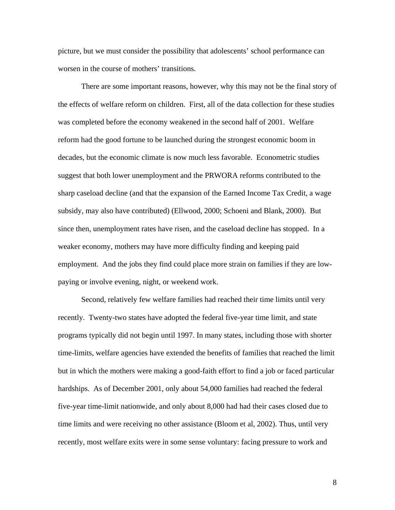picture, but we must consider the possibility that adolescents' school performance can worsen in the course of mothers' transitions.

There are some important reasons, however, why this may not be the final story of the effects of welfare reform on children. First, all of the data collection for these studies was completed before the economy weakened in the second half of 2001. Welfare reform had the good fortune to be launched during the strongest economic boom in decades, but the economic climate is now much less favorable. Econometric studies suggest that both lower unemployment and the PRWORA reforms contributed to the sharp caseload decline (and that the expansion of the Earned Income Tax Credit, a wage subsidy, may also have contributed) (Ellwood, 2000; Schoeni and Blank, 2000). But since then, unemployment rates have risen, and the caseload decline has stopped. In a weaker economy, mothers may have more difficulty finding and keeping paid employment. And the jobs they find could place more strain on families if they are lowpaying or involve evening, night, or weekend work.

Second, relatively few welfare families had reached their time limits until very recently. Twenty-two states have adopted the federal five-year time limit, and state programs typically did not begin until 1997. In many states, including those with shorter time-limits, welfare agencies have extended the benefits of families that reached the limit but in which the mothers were making a good-faith effort to find a job or faced particular hardships. As of December 2001, only about 54,000 families had reached the federal five-year time-limit nationwide, and only about 8,000 had had their cases closed due to time limits and were receiving no other assistance (Bloom et al, 2002). Thus, until very recently, most welfare exits were in some sense voluntary: facing pressure to work and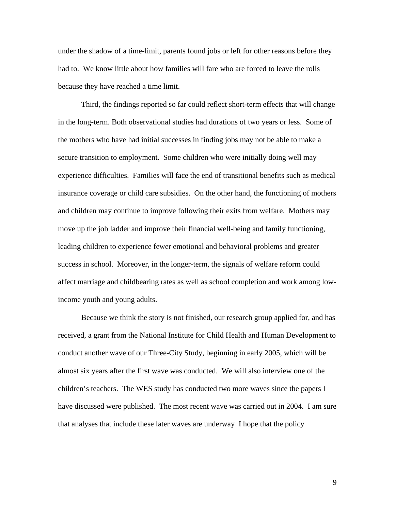under the shadow of a time-limit, parents found jobs or left for other reasons before they had to. We know little about how families will fare who are forced to leave the rolls because they have reached a time limit.

Third, the findings reported so far could reflect short-term effects that will change in the long-term. Both observational studies had durations of two years or less. Some of the mothers who have had initial successes in finding jobs may not be able to make a secure transition to employment. Some children who were initially doing well may experience difficulties. Families will face the end of transitional benefits such as medical insurance coverage or child care subsidies. On the other hand, the functioning of mothers and children may continue to improve following their exits from welfare. Mothers may move up the job ladder and improve their financial well-being and family functioning, leading children to experience fewer emotional and behavioral problems and greater success in school. Moreover, in the longer-term, the signals of welfare reform could affect marriage and childbearing rates as well as school completion and work among lowincome youth and young adults.

Because we think the story is not finished, our research group applied for, and has received, a grant from the National Institute for Child Health and Human Development to conduct another wave of our Three-City Study, beginning in early 2005, which will be almost six years after the first wave was conducted. We will also interview one of the children's teachers. The WES study has conducted two more waves since the papers I have discussed were published. The most recent wave was carried out in 2004. I am sure that analyses that include these later waves are underway I hope that the policy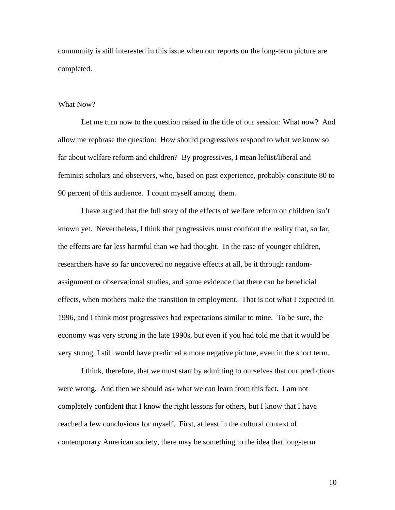community is still interested in this issue when our reports on the long-term picture are completed.

#### What Now?

Let me turn now to the question raised in the title of our session: What now? And allow me rephrase the question: How should progressives respond to what we know so far about welfare reform and children? By progressives, I mean leftist/liberal and feminist scholars and observers, who, based on past experience, probably constitute 80 to 90 percent of this audience. I count myself among them.

I have argued that the full story of the effects of welfare reform on children isn't known yet. Nevertheless, I think that progressives must confront the reality that, so far, the effects are far less harmful than we had thought. In the case of younger children, researchers have so far uncovered no negative effects at all, be it through randomassignment or observational studies, and some evidence that there can be beneficial effects, when mothers make the transition to employment. That is not what I expected in 1996, and I think most progressives had expectations similar to mine. To be sure, the economy was very strong in the late 1990s, but even if you had told me that it would be very strong, I still would have predicted a more negative picture, even in the short term.

I think, therefore, that we must start by admitting to ourselves that our predictions were wrong. And then we should ask what we can learn from this fact. I am not completely confident that I know the right lessons for others, but I know that I have reached a few conclusions for myself. First, at least in the cultural context of contemporary American society, there may be something to the idea that long-term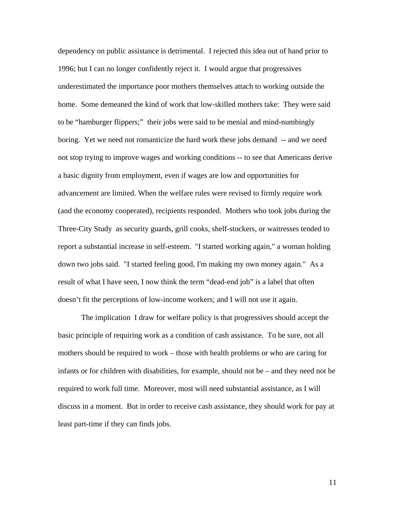dependency on public assistance is detrimental. I rejected this idea out of hand prior to 1996; but I can no longer confidently reject it. I would argue that progressives underestimated the importance poor mothers themselves attach to working outside the home. Some demeaned the kind of work that low-skilled mothers take: They were said to be "hamburger flippers;" their jobs were said to be menial and mind-numbingly boring. Yet we need not romanticize the hard work these jobs demand -- and we need not stop trying to improve wages and working conditions -- to see that Americans derive a basic dignity from employment, even if wages are low and opportunities for advancement are limited. When the welfare rules were revised to firmly require work (and the economy cooperated), recipients responded. Mothers who took jobs during the Three-City Study as security guards, grill cooks, shelf-stockers, or waitresses tended to report a substantial increase in self-esteem. "I started working again," a woman holding down two jobs said. "I started feeling good, I'm making my own money again." As a result of what I have seen, I now think the term "dead-end job" is a label that often doesn't fit the perceptions of low-income workers; and I will not use it again.

The implication I draw for welfare policy is that progressives should accept the basic principle of requiring work as a condition of cash assistance. To be sure, not all mothers should be required to work – those with health problems or who are caring for infants or for children with disabilities, for example, should not be – and they need not be required to work full time. Moreover, most will need substantial assistance, as I will discuss in a moment. But in order to receive cash assistance, they should work for pay at least part-time if they can finds jobs.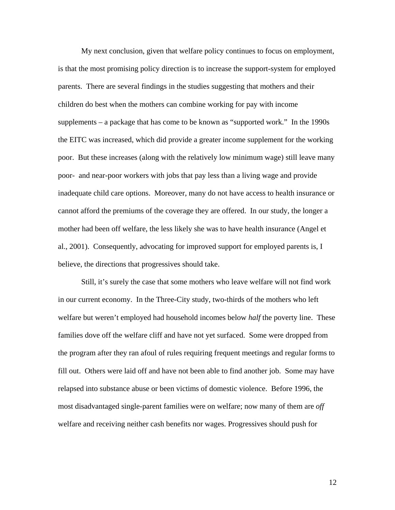My next conclusion, given that welfare policy continues to focus on employment, is that the most promising policy direction is to increase the support-system for employed parents. There are several findings in the studies suggesting that mothers and their children do best when the mothers can combine working for pay with income supplements – a package that has come to be known as "supported work." In the 1990s the EITC was increased, which did provide a greater income supplement for the working poor. But these increases (along with the relatively low minimum wage) still leave many poor- and near-poor workers with jobs that pay less than a living wage and provide inadequate child care options. Moreover, many do not have access to health insurance or cannot afford the premiums of the coverage they are offered. In our study, the longer a mother had been off welfare, the less likely she was to have health insurance (Angel et al., 2001). Consequently, advocating for improved support for employed parents is, I believe, the directions that progressives should take.

Still, it's surely the case that some mothers who leave welfare will not find work in our current economy. In the Three-City study, two-thirds of the mothers who left welfare but weren't employed had household incomes below *half* the poverty line. These families dove off the welfare cliff and have not yet surfaced. Some were dropped from the program after they ran afoul of rules requiring frequent meetings and regular forms to fill out. Others were laid off and have not been able to find another job. Some may have relapsed into substance abuse or been victims of domestic violence. Before 1996, the most disadvantaged single-parent families were on welfare; now many of them are *off* welfare and receiving neither cash benefits nor wages. Progressives should push for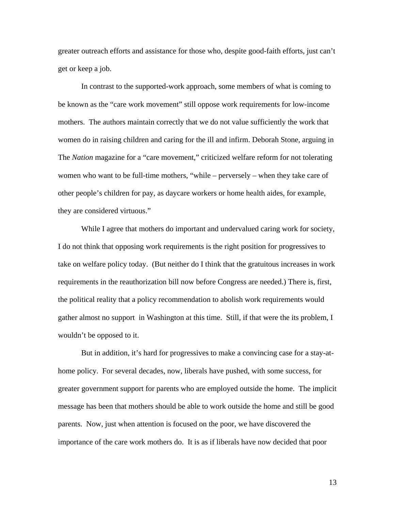greater outreach efforts and assistance for those who, despite good-faith efforts, just can't get or keep a job.

In contrast to the supported-work approach, some members of what is coming to be known as the "care work movement" still oppose work requirements for low-income mothers. The authors maintain correctly that we do not value sufficiently the work that women do in raising children and caring for the ill and infirm. Deborah Stone, arguing in The *Nation* magazine for a "care movement," criticized welfare reform for not tolerating women who want to be full-time mothers, "while – perversely – when they take care of other people's children for pay, as daycare workers or home health aides, for example, they are considered virtuous."

While I agree that mothers do important and undervalued caring work for society, I do not think that opposing work requirements is the right position for progressives to take on welfare policy today. (But neither do I think that the gratuitous increases in work requirements in the reauthorization bill now before Congress are needed.) There is, first, the political reality that a policy recommendation to abolish work requirements would gather almost no support in Washington at this time. Still, if that were the its problem, I wouldn't be opposed to it.

But in addition, it's hard for progressives to make a convincing case for a stay-athome policy. For several decades, now, liberals have pushed, with some success, for greater government support for parents who are employed outside the home. The implicit message has been that mothers should be able to work outside the home and still be good parents. Now, just when attention is focused on the poor, we have discovered the importance of the care work mothers do. It is as if liberals have now decided that poor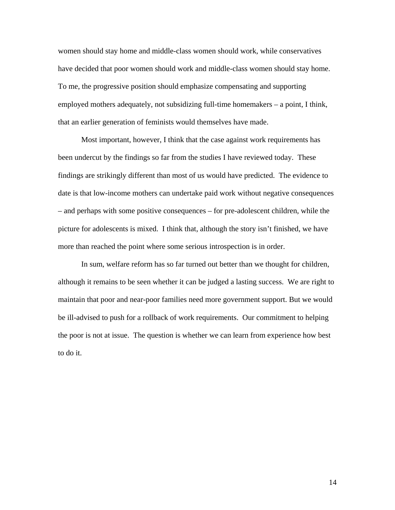women should stay home and middle-class women should work, while conservatives have decided that poor women should work and middle-class women should stay home. To me, the progressive position should emphasize compensating and supporting employed mothers adequately, not subsidizing full-time homemakers – a point, I think, that an earlier generation of feminists would themselves have made.

Most important, however, I think that the case against work requirements has been undercut by the findings so far from the studies I have reviewed today. These findings are strikingly different than most of us would have predicted. The evidence to date is that low-income mothers can undertake paid work without negative consequences – and perhaps with some positive consequences – for pre-adolescent children, while the picture for adolescents is mixed. I think that, although the story isn't finished, we have more than reached the point where some serious introspection is in order.

In sum, welfare reform has so far turned out better than we thought for children, although it remains to be seen whether it can be judged a lasting success. We are right to maintain that poor and near-poor families need more government support. But we would be ill-advised to push for a rollback of work requirements. Our commitment to helping the poor is not at issue. The question is whether we can learn from experience how best to do it.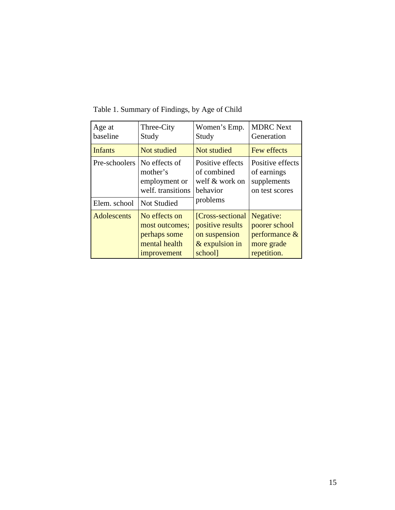| Age at                        | Three-City                                                                            | Women's Emp.                                                              | <b>MDRC</b> Next                                                 |
|-------------------------------|---------------------------------------------------------------------------------------|---------------------------------------------------------------------------|------------------------------------------------------------------|
| baseline                      | Study                                                                                 | Study                                                                     | Generation                                                       |
| <b>Infants</b>                | Not studied                                                                           | Not studied                                                               | Few effects                                                      |
| Pre-schoolers<br>Elem. school | No effects of<br>mother's<br>employment or<br>welf. transitions<br><b>Not Studied</b> | Positive effects<br>of combined<br>welf & work on<br>behavior<br>problems | Positive effects<br>of earnings<br>supplements<br>on test scores |
| <b>Adolescents</b>            | No effects on                                                                         | [Cross-sectional]                                                         | Negative:                                                        |
|                               | most outcomes;                                                                        | positive results                                                          | poorer school                                                    |
|                               | perhaps some                                                                          | on suspension                                                             | performance $\&$                                                 |
|                               | mental health                                                                         | $&$ expulsion in                                                          | more grade                                                       |
|                               | improvement                                                                           | school]                                                                   | repetition.                                                      |

Table 1. Summary of Findings, by Age of Child